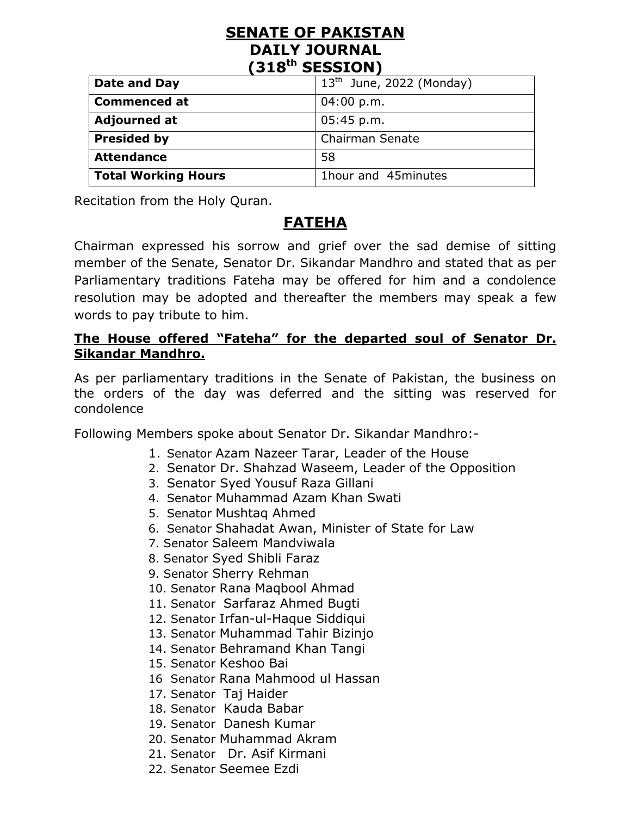#### **SENATE OF PAKISTAN DAILY JOURNAL (318th SESSION)**

| Date and Day        | $13th$ June, 2022 (Monday) |
|---------------------|----------------------------|
| <b>Commenced at</b> | 04:00 p.m.                 |
| <b>Adjourned at</b> | 05:45 p.m.                 |
| <b>Presided by</b>  | <b>Chairman Senate</b>     |
| <b>Attendance</b>   | 58                         |
| Total Working Hours | 1hour and 45minutes        |

Recitation from the Holy Quran.

## **FATEHA**

Chairman expressed his sorrow and grief over the sad demise of sitting member of the Senate, Senator Dr. Sikandar Mandhro and stated that as per Parliamentary traditions Fateha may be offered for him and a condolence resolution may be adopted and thereafter the members may speak a few words to pay tribute to him.

#### **The House offered "Fateha" for the departed soul of Senator Dr. Sikandar Mandhro.**

As per parliamentary traditions in the Senate of Pakistan, the business on the orders of the day was deferred and the sitting was reserved for condolence

Following Members spoke about Senator Dr. Sikandar Mandhro:-

- 1. Senator Azam Nazeer Tarar, Leader of the House
- 2. Senator Dr. Shahzad Waseem, Leader of the Opposition
- 3. Senator Syed Yousuf Raza Gillani
- 4. Senator Muhammad Azam Khan Swati
- 5. Senator Mushtaq Ahmed
- 6. Senator Shahadat Awan, Minister of State for Law
- 7. Senator Saleem Mandviwala
- 8. Senator Syed Shibli Faraz
- 9. Senator Sherry Rehman
- 10. Senator Rana Maqbool Ahmad
- 11. Senator Sarfaraz Ahmed Bugti
- 12. Senator Irfan-ul-Haque Siddiqui
- 13. Senator Muhammad Tahir Bizinjo
- 14. Senator Behramand Khan Tangi
- 15. Senator Keshoo Bai
- 16 Senator Rana Mahmood ul Hassan
- 17. Senator Taj Haider
- 18. Senator Kauda Babar
- 19. Senator Danesh Kumar
- 20. Senator Muhammad Akram
- 21. Senator Dr. Asif Kirmani
- 22. Senator Seemee Ezdi